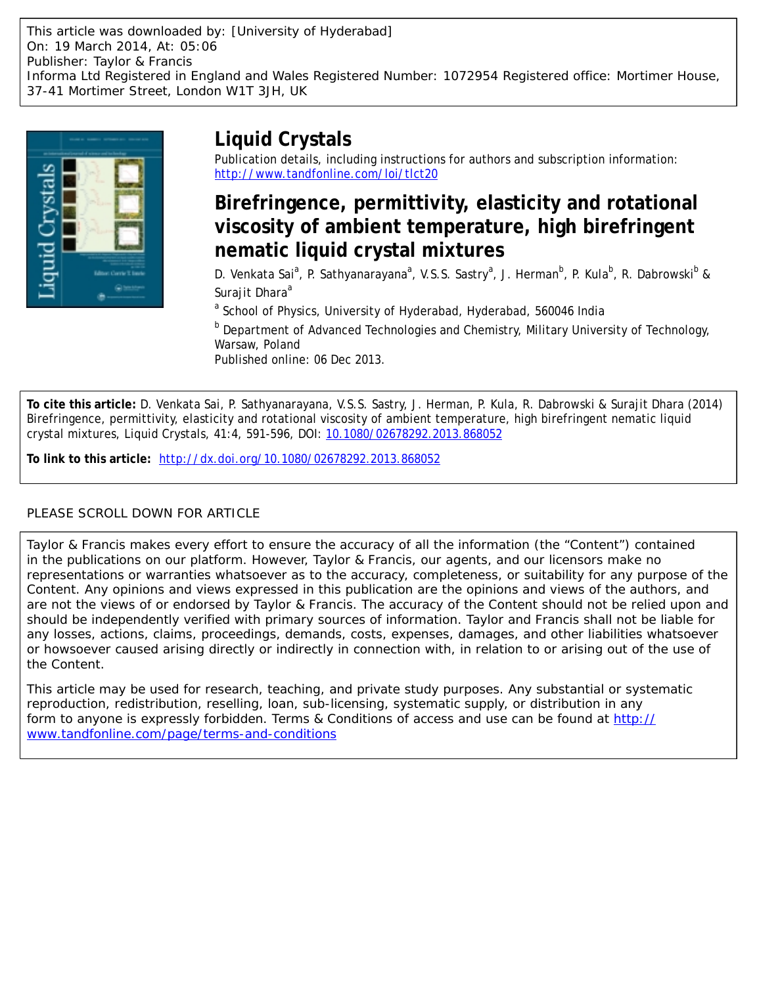

# **Liquid Crystals**

Publication details, including instructions for authors and subscription information: <http://www.tandfonline.com/loi/tlct20>

# **Birefringence, permittivity, elasticity and rotational viscosity of ambient temperature, high birefringent nematic liquid crystal mixtures**

D. Venkata Sai<sup>a</sup>, P. Sathyanarayana<sup>a</sup>, V.S.S. Sastry<sup>a</sup>, J. Herman<sup>b</sup>, P. Kula<sup>b</sup>, R. Dabrowski<sup>b</sup> & Surajit Dhara<sup>a</sup>

<sup>a</sup> School of Physics, University of Hyderabad, Hyderabad, 560046 India

**b** Department of Advanced Technologies and Chemistry, Military University of Technology, Warsaw, Poland

Published online: 06 Dec 2013.

**To cite this article:** D. Venkata Sai, P. Sathyanarayana, V.S.S. Sastry, J. Herman, P. Kula, R. Dabrowski & Surajit Dhara (2014) Birefringence, permittivity, elasticity and rotational viscosity of ambient temperature, high birefringent nematic liquid crystal mixtures, Liquid Crystals, 41:4, 591-596, DOI: [10.1080/02678292.2013.868052](http://www.tandfonline.com/action/showCitFormats?doi=10.1080/02678292.2013.868052)

**To link to this article:** <http://dx.doi.org/10.1080/02678292.2013.868052>

# PLEASE SCROLL DOWN FOR ARTICLE

Taylor & Francis makes every effort to ensure the accuracy of all the information (the "Content") contained in the publications on our platform. However, Taylor & Francis, our agents, and our licensors make no representations or warranties whatsoever as to the accuracy, completeness, or suitability for any purpose of the Content. Any opinions and views expressed in this publication are the opinions and views of the authors, and are not the views of or endorsed by Taylor & Francis. The accuracy of the Content should not be relied upon and should be independently verified with primary sources of information. Taylor and Francis shall not be liable for any losses, actions, claims, proceedings, demands, costs, expenses, damages, and other liabilities whatsoever or howsoever caused arising directly or indirectly in connection with, in relation to or arising out of the use of the Content.

This article may be used for research, teaching, and private study purposes. Any substantial or systematic reproduction, redistribution, reselling, loan, sub-licensing, systematic supply, or distribution in any form to anyone is expressly forbidden. Terms & Conditions of access and use can be found at [http://](http://www.tandfonline.com/page/terms-and-conditions) [www.tandfonline.com/page/terms-and-conditions](http://www.tandfonline.com/page/terms-and-conditions)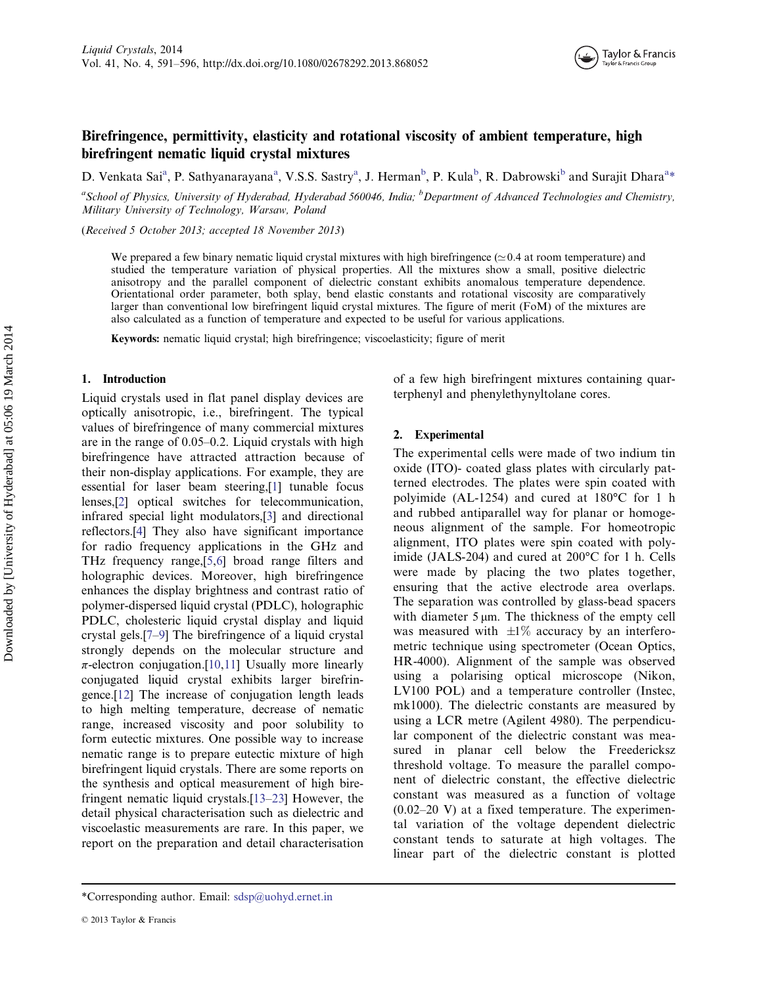

# Birefringence, permittivity, elasticity and rotational viscosity of ambient temperature, high birefringent nematic liquid crystal mixtures

D. Venkata Sai<sup>a</sup>, P. Sathyanarayana<sup>a</sup>, V.S.S. Sastry<sup>a</sup>, J. Herman<sup>b</sup>, P. Kula<sup>b</sup>, R. Dabrowski<sup>b</sup> and Surajit Dhara<sup>a\*</sup>

<sup>a</sup>School of Physics, University of Hyderabad, Hyderabad 560046, India; <sup>b</sup>Department of Advanced Technologies and Chemistry, Military University of Technology, Warsaw, Poland

(Received 5 October 2013; accepted 18 November 2013)

We prepared a few binary nematic liquid crystal mixtures with high birefringence  $(\simeq 0.4$  at room temperature) and studied the temperature variation of physical properties. All the mixtures show a small, positive dielectric anisotropy and the parallel component of dielectric constant exhibits anomalous temperature dependence. Orientational order parameter, both splay, bend elastic constants and rotational viscosity are comparatively larger than conventional low birefringent liquid crystal mixtures. The figure of merit (FoM) of the mixtures are also calculated as a function of temperature and expected to be useful for various applications.

Keywords: nematic liquid crystal; high birefringence; viscoelasticity; figure of merit

## 1. Introduction

Liquid crystals used in flat panel display devices are optically anisotropic, i.e., birefringent. The typical values of birefringence of many commercial mixtures are in the range of 0.05–0.2. Liquid crystals with high birefringence have attracted attraction because of their non-display applications. For example, they are essential for laser beam steering,[[1\]](#page-5-0) tunable focus lenses,[\[2](#page-5-0)] optical switches for telecommunication, infrared special light modulators,[[3\]](#page-5-0) and directional reflectors.[[4\]](#page-5-0) They also have significant importance for radio frequency applications in the GHz and THz frequency range,[[5,6](#page-5-0)] broad range filters and holographic devices. Moreover, high birefringence enhances the display brightness and contrast ratio of polymer-dispersed liquid crystal (PDLC), holographic PDLC, cholesteric liquid crystal display and liquid crystal gels.[[7](#page-5-0)–[9\]](#page-6-0) The birefringence of a liquid crystal strongly depends on the molecular structure and  $\pi$ -electron conjugation.[[10,11](#page-6-0)] Usually more linearly conjugated liquid crystal exhibits larger birefringence.[[12](#page-6-0)] The increase of conjugation length leads to high melting temperature, decrease of nematic range, increased viscosity and poor solubility to form eutectic mixtures. One possible way to increase nematic range is to prepare eutectic mixture of high birefringent liquid crystals. There are some reports on the synthesis and optical measurement of high birefringent nematic liquid crystals.[[13](#page-6-0)–[23\]](#page-6-0) However, the detail physical characterisation such as dielectric and viscoelastic measurements are rare. In this paper, we report on the preparation and detail characterisation

terphenyl and phenylethynyltolane cores.

of a few high birefringent mixtures containing quar-

The experimental cells were made of two indium tin oxide (ITO)- coated glass plates with circularly patterned electrodes. The plates were spin coated with polyimide (AL-1254) and cured at 180°C for 1 h and rubbed antiparallel way for planar or homogeneous alignment of the sample. For homeotropic alignment, ITO plates were spin coated with polyimide (JALS-204) and cured at 200°C for 1 h. Cells were made by placing the two plates together, ensuring that the active electrode area overlaps. The separation was controlled by glass-bead spacers with diameter 5 μm. The thickness of the empty cell was measured with  $\pm 1\%$  accuracy by an interferometric technique using spectrometer (Ocean Optics, HR-4000). Alignment of the sample was observed using a polarising optical microscope (Nikon, LV100 POL) and a temperature controller (Instec, mk1000). The dielectric constants are measured by using a LCR metre (Agilent 4980). The perpendicular component of the dielectric constant was measured in planar cell below the Freedericksz threshold voltage. To measure the parallel component of dielectric constant, the effective dielectric constant was measured as a function of voltage  $(0.02-20 \text{ V})$  at a fixed temperature. The experimental variation of the voltage dependent dielectric constant tends to saturate at high voltages. The linear part of the dielectric constant is plotted

<sup>2.</sup> Experimental

<sup>\*</sup>Corresponding author. Email: [sdsp@uohyd.ernet.in](mailto:sdsp@uohyd.ernet.in)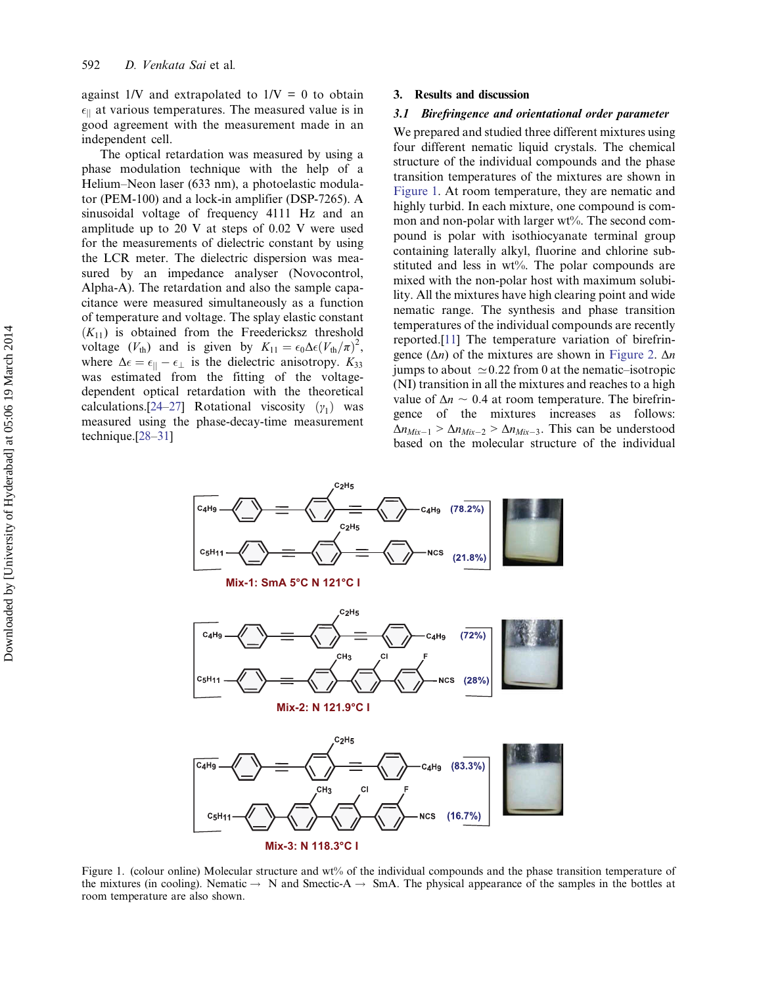against  $1/V$  and extrapolated to  $1/V = 0$  to obtain  $\epsilon_{\parallel}$  at various temperatures. The measured value is in good agreement with the measurement made in an independent cell.

The optical retardation was measured by using a phase modulation technique with the help of a Helium–Neon laser (633 nm), a photoelastic modulator (PEM-100) and a lock-in amplifier (DSP-7265). A sinusoidal voltage of frequency 4111 Hz and an amplitude up to 20 V at steps of 0.02 V were used for the measurements of dielectric constant by using the LCR meter. The dielectric dispersion was measured by an impedance analyser (Novocontrol, Alpha-A). The retardation and also the sample capacitance were measured simultaneously as a function of temperature and voltage. The splay elastic constant  $(K_{11})$  is obtained from the Freedericksz threshold voltage  $(V_{\text{th}})$  and is given by  $K_{11} = \epsilon_0 \Delta \epsilon (V_{\text{th}}/\pi)^2$ , where  $\Delta \epsilon = \epsilon_{\parallel} - \epsilon_{\perp}$  is the dielectric anisotropy.  $K_{33}$ was estimated from the fitting of the voltagedependent optical retardation with the theoretical calculations.[\[24](#page-6-0)–[27\]](#page-6-0) Rotational viscosity  $(y_1)$  was measured using the phase-decay-time measurement technique.[[28](#page-6-0)–[31\]](#page-6-0)

#### 3. Results and discussion

### 3.1 Birefringence and orientational order parameter

We prepared and studied three different mixtures using four different nematic liquid crystals. The chemical structure of the individual compounds and the phase transition temperatures of the mixtures are shown in Figure 1. At room temperature, they are nematic and highly turbid. In each mixture, one compound is common and non-polar with larger wt%. The second compound is polar with isothiocyanate terminal group containing laterally alkyl, fluorine and chlorine substituted and less in  $wt\%$ . The polar compounds are mixed with the non-polar host with maximum solubility. All the mixtures have high clearing point and wide nematic range. The synthesis and phase transition temperatures of the individual compounds are recently reported.[[11\]](#page-6-0) The temperature variation of birefringence  $(\Delta n)$  of the mixtures are shown in [Figure 2.](#page-3-0)  $\Delta n$ jumps to about  $\simeq 0.22$  from 0 at the nematic–isotropic (NI) transition in all the mixtures and reaches to a high value of  $\Delta n \sim 0.4$  at room temperature. The birefringence of the mixtures increases as follows:  $\Delta n_{Mix-1} > \Delta n_{Mix-2} > \Delta n_{Mix-3}$ . This can be understood based on the molecular structure of the individual



Figure 1. (colour online) Molecular structure and wt% of the individual compounds and the phase transition temperature of the mixtures (in cooling). Nematic  $\rightarrow$  N and Smectic-A  $\rightarrow$  SmA. The physical appearance of the samples in the bottles at room temperature are also shown.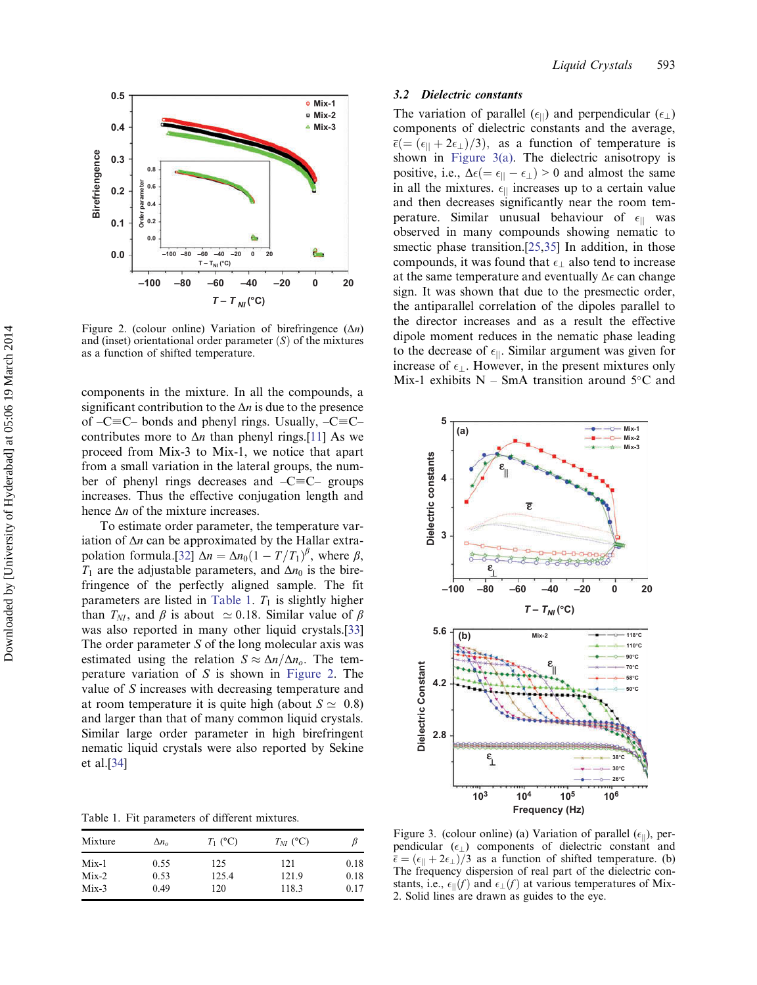<span id="page-3-0"></span>

Figure 2. (colour online) Variation of birefringence  $(\Delta n)$ and (inset) orientational order parameter  $(S)$  of the mixtures as a function of shifted temperature.

components in the mixture. In all the compounds, a significant contribution to the  $\Delta n$  is due to the presence of  $-C\equiv C$ – bonds and phenyl rings. Usually,  $-C\equiv C$ – contributes more to  $\Delta n$  than phenyl rings.[[11\]](#page-6-0) As we proceed from Mix-3 to Mix-1, we notice that apart from a small variation in the lateral groups, the number of phenyl rings decreases and  $-C\equiv C-$  groups increases. Thus the effective conjugation length and hence  $\Delta n$  of the mixture increases.

To estimate order parameter, the temperature variation of  $\Delta n$  can be approximated by the Hallar extra-polation formula.[[32\]](#page-6-0)  $\Delta n = \Delta n_0 \left(1 - \frac{T}{T_1}\right)^{\beta}$ , where  $\beta$ ,  $T_1$  are the adjustable parameters, and  $\Delta n_0$  is the birefringence of the perfectly aligned sample. The fit parameters are listed in Table 1.  $T_1$  is slightly higher than  $T_{NI}$ , and  $\beta$  is about  $\simeq 0.18$ . Similar value of  $\beta$ was also reported in many other liquid crystals.[\[33](#page-6-0)] The order parameter  $S$  of the long molecular axis was estimated using the relation  $S \approx \Delta n/\Delta n_o$ . The temperature variation of  $S$  is shown in Figure 2. The value of S increases with decreasing temperature and at room temperature it is quite high (about  $S \simeq 0.8$ ) and larger than that of many common liquid crystals. Similar large order parameter in high birefringent nematic liquid crystals were also reported by Sekine et al.[[34\]](#page-6-0)

Table 1. Fit parameters of different mixtures.

| Mixture | $\Delta n_{o}$ | $T_1$ (°C) | $T_{NI}$ (°C) |      |
|---------|----------------|------------|---------------|------|
| $Mix-1$ | 0.55           | 125        | 121           | 0.18 |
| $Mix-2$ | 0.53           | 125.4      | 121.9         | 0.18 |
| $Mix-3$ | 0.49           | 120        | 118.3         | 0.17 |

## 3.2 Dielectric constants

The variation of parallel  $(\epsilon_{\parallel})$  and perpendicular  $(\epsilon_{\perp})$ components of dielectric constants and the average,  $\overline{\epsilon}$ (= ( $\epsilon_{\parallel}$  + 2 $\epsilon_{\perp}$ )/3), as a function of temperature is shown in Figure 3(a). The dielectric anisotropy is positive, i.e.,  $\Delta \epsilon (= \epsilon_{||} - \epsilon_{\perp}) > 0$  and almost the same in all the mixtures.  $\epsilon_{\parallel}$  increases up to a certain value and then decreases significantly near the room temperature. Similar unusual behaviour of  $\epsilon_{\parallel}$  was observed in many compounds showing nematic to smectic phase transition.<sup>[\[25,35](#page-6-0)]</sup> In addition, in those compounds, it was found that  $\epsilon_{\perp}$  also tend to increase at the same temperature and eventually  $\Delta \epsilon$  can change sign. It was shown that due to the presmectic order, the antiparallel correlation of the dipoles parallel to the director increases and as a result the effective dipole moment reduces in the nematic phase leading to the decrease of  $\epsilon_{\parallel}$ . Similar argument was given for increase of  $\epsilon_{\perp}$ . However, in the present mixtures only Mix-1 exhibits  $N - SmA$  transition around  $5^{\circ}C$  and



Figure 3. (colour online) (a) Variation of parallel  $(\epsilon_{\parallel})$ , perpendicular  $(\epsilon_{\perp})$  components of dielectric constant and  $\bar{\epsilon} = (\epsilon_{\parallel} + 2\epsilon_{\perp})/3$  as a function of shifted temperature. (b) The frequency dispersion of real part of the dielectric constants, i.e.,  $\epsilon_{\parallel}(f)$  and  $\epsilon_{\perp}(f)$  at various temperatures of Mix-2. Solid lines are drawn as guides to the eye.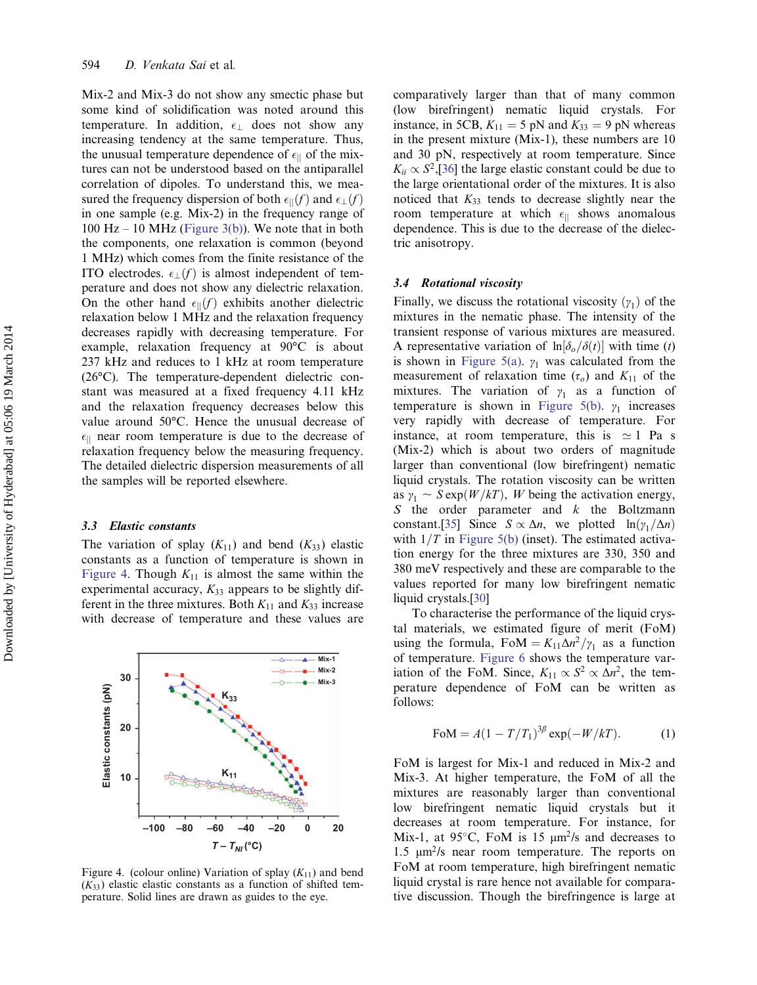Mix-2 and Mix-3 do not show any smectic phase but some kind of solidification was noted around this temperature. In addition,  $\epsilon_{\perp}$  does not show any increasing tendency at the same temperature. Thus, the unusual temperature dependence of  $\epsilon_{\parallel}$  of the mixtures can not be understood based on the antiparallel correlation of dipoles. To understand this, we measured the frequency dispersion of both  $\epsilon_{\parallel}(f)$  and  $\epsilon_{\perp}(f)$ in one sample (e.g. Mix-2) in the frequency range of  $100$  Hz –  $10$  MHz [\(Figure 3\(b\)\)](#page-3-0). We note that in both the components, one relaxation is common (beyond 1 MHz) which comes from the finite resistance of the ITO electrodes.  $\epsilon_{\perp}(f)$  is almost independent of temperature and does not show any dielectric relaxation. On the other hand  $\epsilon_{\parallel}(f)$  exhibits another dielectric relaxation below 1 MHz and the relaxation frequency decreases rapidly with decreasing temperature. For example, relaxation frequency at 90°C is about 237 kHz and reduces to 1 kHz at room temperature (26°C). The temperature-dependent dielectric constant was measured at a fixed frequency 4.11 kHz and the relaxation frequency decreases below this value around 50°C. Hence the unusual decrease of  $\epsilon_{\parallel}$  near room temperature is due to the decrease of relaxation frequency below the measuring frequency. The detailed dielectric dispersion measurements of all the samples will be reported elsewhere.

#### 3.3 Elastic constants

The variation of splay  $(K_{11})$  and bend  $(K_{33})$  elastic constants as a function of temperature is shown in Figure 4. Though  $K_{11}$  is almost the same within the experimental accuracy,  $K_{33}$  appears to be slightly different in the three mixtures. Both  $K_{11}$  and  $K_{33}$  increase with decrease of temperature and these values are



Figure 4. (colour online) Variation of splay  $(K_{11})$  and bend  $(K_{33})$  elastic elastic constants as a function of shifted temperature. Solid lines are drawn as guides to the eye.

comparatively larger than that of many common (low birefringent) nematic liquid crystals. For instance, in 5CB,  $K_{11} = 5$  pN and  $K_{33} = 9$  pN whereas in the present mixture (Mix-1), these numbers are 10 and 30 pN, respectively at room temperature. Since  $K_{ii} \propto S^2$ , [[36\]](#page-6-0) the large elastic constant could be due to the large orientational order of the mixtures. It is also noticed that  $K_{33}$  tends to decrease slightly near the room temperature at which  $\epsilon_{\parallel}$  shows anomalous dependence. This is due to the decrease of the dielectric anisotropy.

### 3.4 Rotational viscosity

Finally, we discuss the rotational viscosity  $(y_1)$  of the mixtures in the nematic phase. The intensity of the transient response of various mixtures are measured. A representative variation of  $\ln[\delta_o/\delta(t)]$  with time (t) is shown in [Figure 5\(a\).](#page-5-0)  $\gamma_1$  was calculated from the measurement of relaxation time  $(\tau_o)$  and  $K_{11}$  of the mixtures. The variation of  $\gamma_1$  as a function of temperature is shown in [Figure 5\(b\).](#page-5-0)  $\gamma_1$  increases very rapidly with decrease of temperature. For instance, at room temperature, this is  $\simeq 1$  Pa s (Mix-2) which is about two orders of magnitude larger than conventional (low birefringent) nematic liquid crystals. The rotation viscosity can be written as  $y_1 \sim S \exp(W/kT)$ , W being the activation energy, S the order parameter and  $k$  the Boltzmann constant.[[35\]](#page-6-0) Since  $S \propto \Delta n$ , we plotted  $\ln(\gamma_1/\Delta n)$ with  $1/T$  in [Figure 5\(b\)](#page-5-0) (inset). The estimated activation energy for the three mixtures are 330, 350 and 380 meV respectively and these are comparable to the values reported for many low birefringent nematic liquid crystals.[\[30](#page-6-0)]

To characterise the performance of the liquid crystal materials, we estimated figure of merit (FoM) using the formula, FoM =  $K_{11}\Delta n^2/\gamma_1$  as a function of temperature. [Figure 6](#page-5-0) shows the temperature variation of the FoM. Since,  $K_{11} \propto S^2 \propto \Delta n^2$ , the temperature dependence of FoM can be written as follows:

$$
F \text{o} M = A (1 - T/T_1)^{3\beta} \exp(-W/kT). \tag{1}
$$

FoM is largest for Mix-1 and reduced in Mix-2 and Mix-3. At higher temperature, the FoM of all the mixtures are reasonably larger than conventional low birefringent nematic liquid crystals but it decreases at room temperature. For instance, for Mix-1, at 95 $\degree$ C, FoM is 15  $\mu$ m<sup>2</sup>/s and decreases to 1.5  $μm<sup>2</sup>/s$  near room temperature. The reports on FoM at room temperature, high birefringent nematic liquid crystal is rare hence not available for comparative discussion. Though the birefringence is large at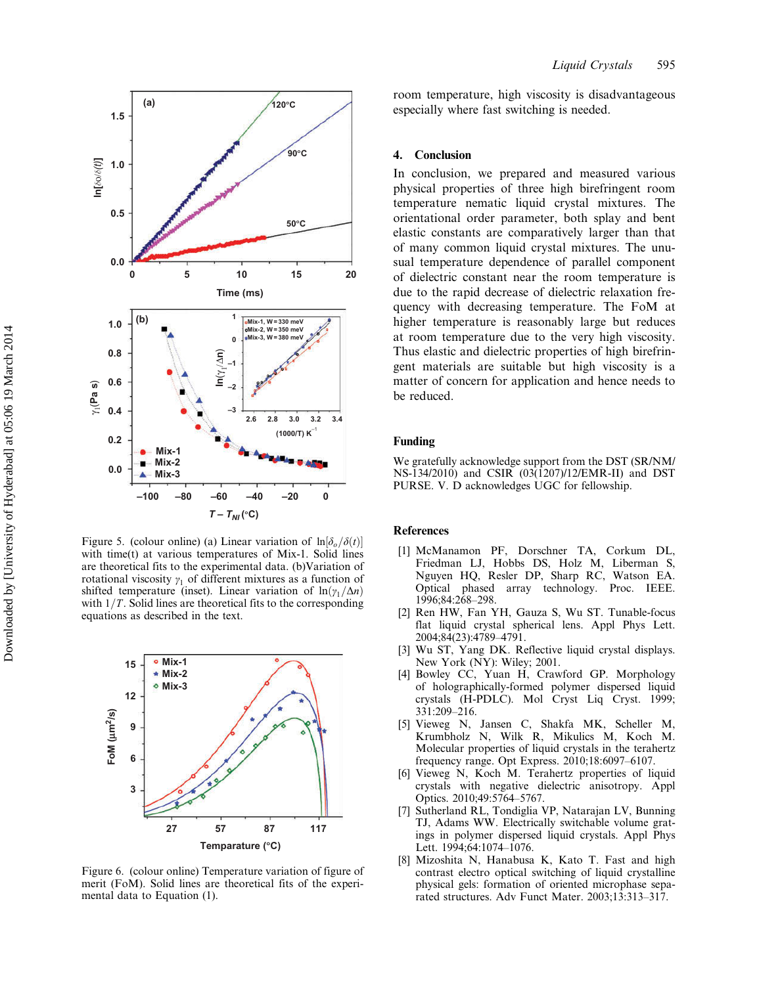<span id="page-5-0"></span>

Figure 5. (colour online) (a) Linear variation of  $\ln[\delta_{\alpha}/\delta(t)]$ with time(t) at various temperatures of Mix-1. Solid lines are theoretical fits to the experimental data. (b)Variation of rotational viscosity  $\gamma_1$  of different mixtures as a function of shifted temperature (inset). Linear variation of  $\ln(\gamma_1/\Delta n)$ with  $1/T$ . Solid lines are theoretical fits to the corresponding equations as described in the text.



Figure 6. (colour online) Temperature variation of figure of merit (FoM). Solid lines are theoretical fits of the experimental data to Equation (1).

room temperature, high viscosity is disadvantageous especially where fast switching is needed.

#### 4. Conclusion

In conclusion, we prepared and measured various physical properties of three high birefringent room temperature nematic liquid crystal mixtures. The orientational order parameter, both splay and bent elastic constants are comparatively larger than that of many common liquid crystal mixtures. The unusual temperature dependence of parallel component of dielectric constant near the room temperature is due to the rapid decrease of dielectric relaxation frequency with decreasing temperature. The FoM at higher temperature is reasonably large but reduces at room temperature due to the very high viscosity. Thus elastic and dielectric properties of high birefringent materials are suitable but high viscosity is a matter of concern for application and hence needs to be reduced.

# Funding

We gratefully acknowledge support from the DST (SR/NM/ NS-134/2010) and CSIR (03(1207)/12/EMR-II) and DST PURSE. V. D acknowledges UGC for fellowship.

#### References

- [1] McManamon PF, Dorschner TA, Corkum DL, Friedman LJ, Hobbs DS, Holz M, Liberman S, Nguyen HQ, Resler DP, Sharp RC, Watson EA. Optical phased array technology. Proc. IEEE. 1996;84:268–298.
- [2] Ren HW, Fan YH, Gauza S, Wu ST. Tunable-focus flat liquid crystal spherical lens. Appl Phys Lett. 2004;84(23):4789–4791.
- [3] Wu ST, Yang DK. Reflective liquid crystal displays. New York (NY): Wiley; 2001.
- [4] Bowley CC, Yuan H, Crawford GP. Morphology of holographically-formed polymer dispersed liquid crystals (H-PDLC). Mol Cryst Liq Cryst. 1999; 331:209–216.
- [5] Vieweg N, Jansen C, Shakfa MK, Scheller M, Krumbholz N, Wilk R, Mikulics M, Koch M. Molecular properties of liquid crystals in the terahertz frequency range. Opt Express. 2010;18:6097–6107.
- [6] Vieweg N, Koch M. Terahertz properties of liquid crystals with negative dielectric anisotropy. Appl Optics. 2010;49:5764–5767.
- [7] Sutherland RL, Tondiglia VP, Natarajan LV, Bunning TJ, Adams WW. Electrically switchable volume gratings in polymer dispersed liquid crystals. Appl Phys Lett. 1994;64:1074–1076.
- [8] Mizoshita N, Hanabusa K, Kato T. Fast and high contrast electro optical switching of liquid crystalline physical gels: formation of oriented microphase separated structures. Adv Funct Mater. 2003;13:313–317.